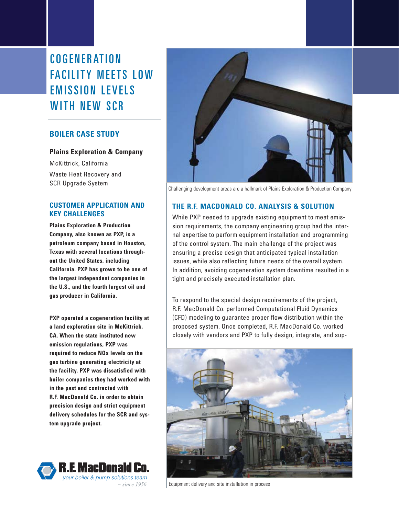COGENERATION **FACILITY MEETS LOW EMISSION LEVELS** WITH NFW SCR

# **BOILER CASE STUDY**

# **Plains Exploration & Company**

McKittrick, California Waste Heat Recovery and SCR Upgrade System

# **CUSTOMER APPLICATION AND KEY CHALLENGES**

**Plains Exploration & Production Company, also known as PXP, is a petroleum company based in Houston, Texas with several locations throughout the United States, including California. PXP has grown to be one of the largest independent companies in the U.S., and the fourth largest oil and gas producer in California.**

**PXP operated a cogeneration facility at a land exploration site in McKittrick, CA. When the state instituted new emission regulations, PXP was required to reduce NOx levels on the gas turbine generating electricity at the facility. PXP was dissatisfied with boiler companies they had worked with in the past and contracted with R.F. MacDonald Co. in order to obtain precision design and strict equipment delivery schedules for the SCR and system upgrade project.** 





Challenging development areas are a hallmark of Plains Exploration & Production Company

# **THE R.F. MACDONALD CO. ANALYSIS & SOLUTION**

While PXP needed to upgrade existing equipment to meet emission requirements, the company engineering group had the internal expertise to perform equipment installation and programming of the control system. The main challenge of the project was ensuring a precise design that anticipated typical installation issues, while also reflecting future needs of the overall system. In addition, avoiding cogeneration system downtime resulted in a tight and precisely executed installation plan.

To respond to the special design requirements of the project, R.F. MacDonald Co. performed Computational Fluid Dynamics (CFD) modeling to guarantee proper flow distribution within the proposed system. Once completed, R.F. MacDonald Co. worked closely with vendors and PXP to fully design, integrate, and sup-



Equipment delivery and site installation in process